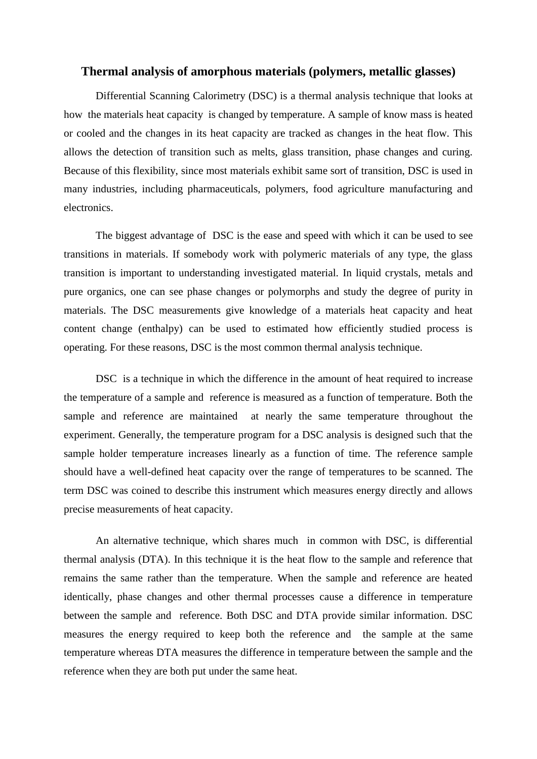#### **Thermal analysis of amorphous materials (polymers, metallic glasses)**

Differential Scanning Calorimetry (DSC) is a thermal analysis technique that looks at how the materials heat capacity is changed by temperature. A sample of know mass is heated or cooled and the changes in its heat capacity are tracked as changes in the heat flow. This allows the detection of transition such as melts, glass transition, phase changes and curing. Because of this flexibility, since most materials exhibit same sort of transition, DSC is used in many industries, including pharmaceuticals, polymers, food agriculture manufacturing and electronics.

The biggest advantage of DSC is the ease and speed with which it can be used to see transitions in materials. If somebody work with polymeric materials of any type, the glass transition is important to understanding investigated material. In liquid crystals, metals and pure organics, one can see phase changes or polymorphs and study the degree of purity in materials. The DSC measurements give knowledge of a materials heat capacity and heat content change (enthalpy) can be used to estimated how efficiently studied process is operating. For these reasons, DSC is the most common thermal analysis technique.

DSC is a technique in which the difference in the amount of [heat](https://en.wikipedia.org/wiki/Heat) required to increase the [temperature](https://en.wikipedia.org/wiki/Temperature) of a sample and reference is measured as a function of temperature. Both the sample and reference are maintained at nearly the same temperature throughout the experiment. Generally, the temperature program for a DSC analysis is designed such that the sample holder temperature increases linearly as a function of time. The reference sample should have a well-defined [heat capacity](https://en.wikipedia.org/wiki/Heat_capacity) over the range of temperatures to be scanned. The term DSC was coined to describe this instrument which measures energy directly and allows precise measurements of heat capacity.

An alternative technique, which shares much in common with DSC, is [differential](https://en.wikipedia.org/wiki/Differential_thermal_analysis)  [thermal analysis](https://en.wikipedia.org/wiki/Differential_thermal_analysis) (DTA). In this technique it is the heat flow to the sample and reference that remains the same rather than the temperature. When the sample and reference are heated identically, phase changes and other thermal processes cause a difference in temperature between the sample and reference. Both DSC and DTA provide similar information. DSC measures the energy required to keep both the reference and the sample at the same temperature whereas DTA measures the difference in temperature between the sample and the reference when they are both put under the same heat.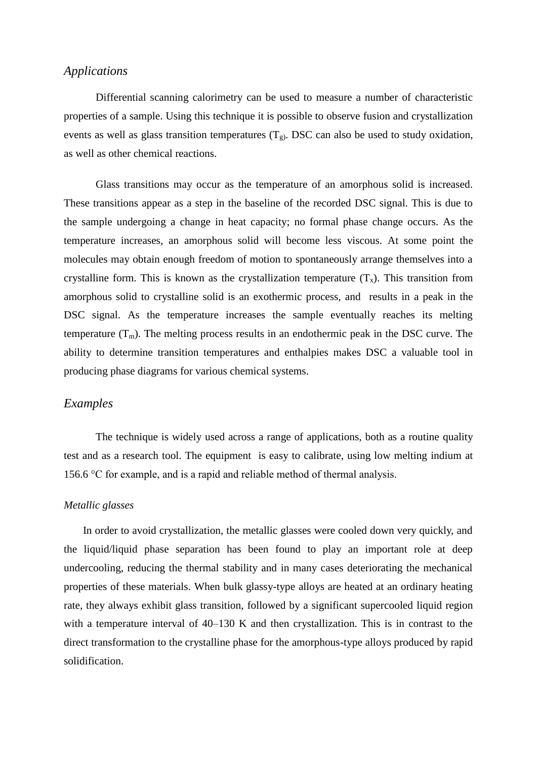## *Applications*

Differential scanning calorimetry can be used to measure a number of characteristic properties of a sample. Using this technique it is possible to observe [fusion](https://en.wikipedia.org/wiki/Melting_point) and [crystallization](https://en.wikipedia.org/wiki/Crystal) events as well as [glass transition](https://en.wikipedia.org/wiki/Glass_transition) temperatures  $(T_g)$ . DSC can also be used to study [oxidation,](https://en.wikipedia.org/wiki/Oxidation) as well as other chemical reactions.

[Glass transitions](https://en.wikipedia.org/wiki/Glass_transition) may occur as the temperature of an [amorphous](https://en.wikipedia.org/wiki/Amorphous) solid is increased. These transitions appear as a step in the baseline of the recorded DSC signal. This is due to the sample undergoing a [change in heat capacity;](https://en.wikipedia.org/wiki/Kauzmann_paradox) no formal phase change occurs. As the temperature increases, an amorphous solid will become less [viscous.](https://en.wikipedia.org/wiki/Viscosity) At some point the molecules may obtain enough freedom of motion to spontaneously arrange themselves into a crystalline form. This is known as the [crystallization temperature](https://en.wikipedia.org/wiki/Crystallization)  $(T_x)$ . This transition from amorphous solid to crystalline solid is an exothermic process, and results in a peak in the DSC signal. As the temperature increases the sample eventually reaches its melting temperature  $(T_m)$ . The melting process results in an endothermic peak in the DSC curve. The ability to determine [transition temperatures](https://en.wikipedia.org/wiki/Transition_temperature) and [enthalpies](https://en.wikipedia.org/wiki/Enthalpy) makes DSC a valuable tool in producing [phase diagrams](https://en.wikipedia.org/wiki/Phase_diagram) for various chemical systems.

### *Examples*

The technique is widely used across a range of applications, both as a routine quality test and as a research tool. The equipment is easy to calibrate, using low melting [indium](https://en.wikipedia.org/wiki/Indium) at 156.6 °C for example, and is a rapid and reliable method of thermal analysis.

#### *Metallic glasses*

In order to avoid crystallization, the metallic glasses were cooled down very quickly, and the liquid/liquid phase separation has been found to play an important role at deep undercooling, reducing the thermal stability and in many cases deteriorating the mechanical properties of these materials. When bulk glassy-type alloys are heated at an ordinary heating rate, they always exhibit glass transition, followed by a significant supercooled liquid region with a temperature interval of 40–130 K and then crystallization. This is in contrast to the direct transformation to the crystalline phase for the amorphous-type alloys produced by rapid solidification.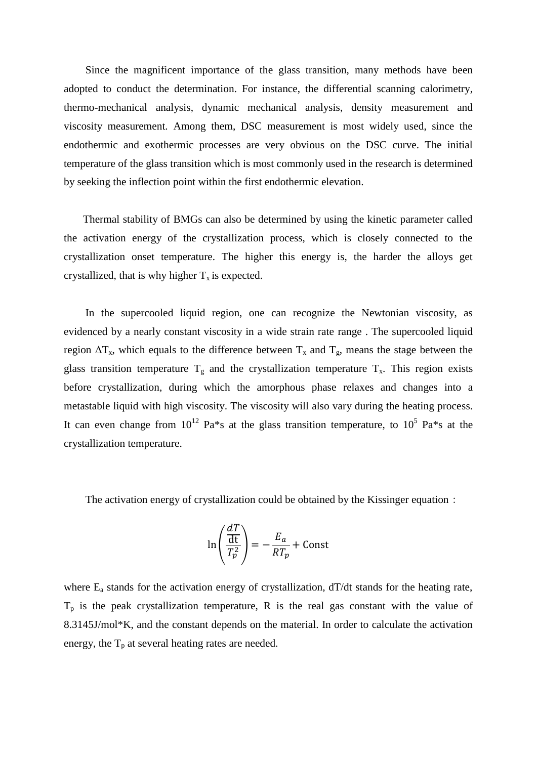Since the magnificent importance of the glass transition, many methods have been adopted to conduct the determination. For instance, the differential scanning calorimetry, thermo-mechanical analysis, dynamic mechanical analysis, density measurement and viscosity measurement. Among them, DSC measurement is most widely used, since the endothermic and exothermic processes are very obvious on the DSC curve. The initial temperature of the glass transition which is most commonly used in the research is determined by seeking the inflection point within the first endothermic elevation.

Thermal stability of BMGs can also be determined by using the kinetic parameter called the activation energy of the crystallization process, which is closely connected to the crystallization onset temperature. The higher this energy is, the harder the alloys get crystallized, that is why higher  $T_x$  is expected.

In the supercooled liquid region, one can recognize the Newtonian viscosity, as evidenced by a nearly constant viscosity in a wide strain rate range . The supercooled liquid region  $\Delta T_x$ , which equals to the difference between  $T_x$  and  $T_g$ , means the stage between the glass transition temperature  $T_g$  and the crystallization temperature  $T_x$ . This region exists before crystallization, during which the amorphous phase relaxes and changes into a metastable liquid with high viscosity. The viscosity will also vary during the heating process. It can even change from  $10^{12}$  Pa\*s at the glass transition temperature, to  $10^5$  Pa\*s at the crystallization temperature.

The activation energy of crystallization could be obtained by the Kissinger equation:

$$
\ln\left(\frac{\frac{dT}{dt}}{T_p^2}\right) = -\frac{E_a}{RT_p} + \text{Const}
$$

where  $E_a$  stands for the activation energy of crystallization,  $dT/dt$  stands for the heating rate,  $T_p$  is the peak crystallization temperature, R is the real gas constant with the value of 8.3145J/mol\*K, and the constant depends on the material. In order to calculate the activation energy, the  $T_p$  at several heating rates are needed.